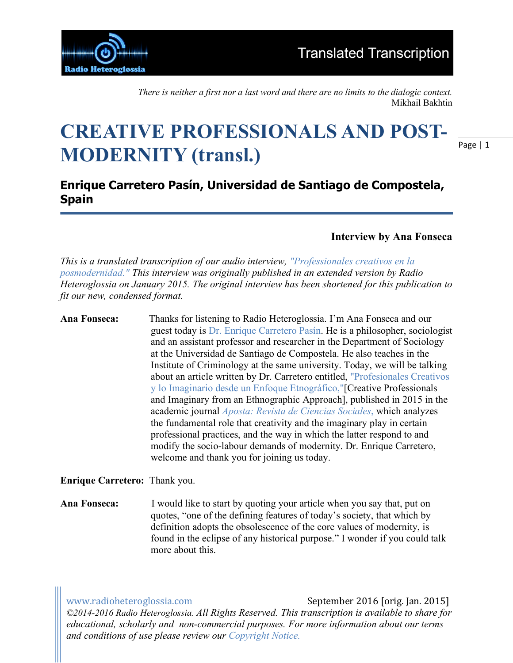

*There is neither a first nor a last word and there are no limits to the dialogic context.*  Mikhail Bakhtin

## **CREATIVE PROFESSIONALS AND POST-MODERNITY (transl.)**

Page | 1

## **Enrique Carretero Pasín, Universidad de Santiago de Compostela, Spain**

**Interview by Ana Fonseca**

*This is a translated transcription of our audio interview, "Professionales creativos en la posmodernidad." This interview was originally published in an extended version by Radio Heteroglossia on January 2015. The original interview has been shortened for this publication to fit our new, condensed format.*

**Ana Fonseca:** Thanks for listening to Radio Heteroglossia. I'm Ana Fonseca and our guest today is Dr. Enrique Carretero Pasín. He is a philosopher, sociologist and an assistant professor and researcher in the Department of Sociology at the Universidad de Santiago de Compostela. He also teaches in the Institute of Criminology at the same university. Today, we will be talking about an article written by Dr. Carretero entitled, "Profesionales Creativos y lo Imaginario desde un Enfoque Etnográfico,"[Creative Professionals and Imaginary from an Ethnographic Approach], published in 2015 in the academic journal *Aposta: Revista de Ciencias Sociales*, which analyzes the fundamental role that creativity and the imaginary play in certain professional practices, and the way in which the latter respond to and modify the socio-labour demands of modernity. Dr. Enrique Carretero, welcome and thank you for joining us today.

**Enrique Carretero:** Thank you.

**Ana Fonseca:** I would like to start by quoting your article when you say that, put on quotes, "one of the defining features of today's society, that which by definition adopts the obsolescence of the core values of modernity, is found in the eclipse of any historical purpose." I wonder if you could talk more about this.

www.radioheteroglossia.com September 2016 [orig. Jan. 2015] *©2014-2016 Radio Heteroglossia. All Rights Reserved. This transcription is available to share for educational, scholarly and non-commercial purposes. For more information about our terms and conditions of use please review our Copyright Notice.*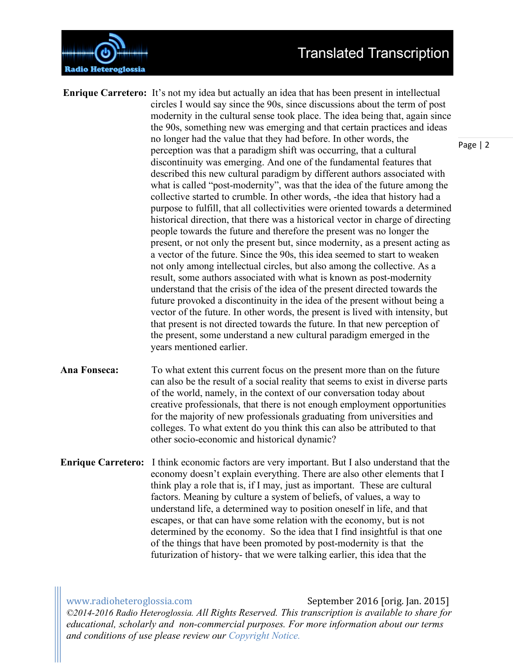

**Enrique Carretero:** It's not my idea but actually an idea that has been present in intellectual circles I would say since the 90s, since discussions about the term of post modernity in the cultural sense took place. The idea being that, again since the 90s, something new was emerging and that certain practices and ideas no longer had the value that they had before. In other words, the perception was that a paradigm shift was occurring, that a cultural discontinuity was emerging. And one of the fundamental features that described this new cultural paradigm by different authors associated with what is called "post-modernity", was that the idea of the future among the collective started to crumble. In other words, -the idea that history had a purpose to fulfill, that all collectivities were oriented towards a determined historical direction, that there was a historical vector in charge of directing people towards the future and therefore the present was no longer the present, or not only the present but, since modernity, as a present acting as a vector of the future. Since the 90s, this idea seemed to start to weaken not only among intellectual circles, but also among the collective. As a result, some authors associated with what is known as post-modernity understand that the crisis of the idea of the present directed towards the future provoked a discontinuity in the idea of the present without being a vector of the future. In other words, the present is lived with intensity, but that present is not directed towards the future. In that new perception of the present, some understand a new cultural paradigm emerged in the years mentioned earlier.

**Ana Fonseca:** To what extent this current focus on the present more than on the future can also be the result of a social reality that seems to exist in diverse parts of the world, namely, in the context of our conversation today about creative professionals, that there is not enough employment opportunities for the majority of new professionals graduating from universities and colleges. To what extent do you think this can also be attributed to that other socio-economic and historical dynamic?

**Enrique Carretero:** I think economic factors are very important. But I also understand that the economy doesn't explain everything. There are also other elements that I think play a role that is, if I may, just as important. These are cultural factors. Meaning by culture a system of beliefs, of values, a way to understand life, a determined way to position oneself in life, and that escapes, or that can have some relation with the economy, but is not determined by the economy. So the idea that I find insightful is that one of the things that have been promoted by post-modernity is that the futurization of history- that we were talking earlier, this idea that the

www.radioheteroglossia.com September 2016 [orig. Jan. 2015] *©2014-2016 Radio Heteroglossia. All Rights Reserved. This transcription is available to share for educational, scholarly and non-commercial purposes. For more information about our terms and conditions of use please review our Copyright Notice.*

Page | 2